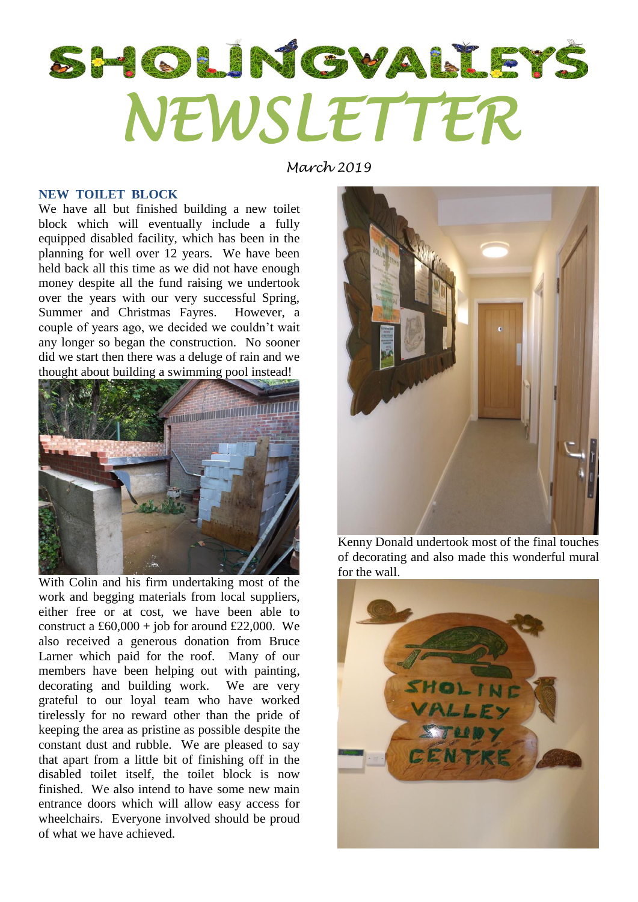## SHOLINGVALISYS *NEWSLETTER*

*March 2019*

## **NEW TOILET BLOCK**

We have all but finished building a new toilet block which will eventually include a fully equipped disabled facility, which has been in the planning for well over 12 years. We have been held back all this time as we did not have enough money despite all the fund raising we undertook over the years with our very successful Spring, Summer and Christmas Fayres. However, a couple of years ago, we decided we couldn't wait any longer so began the construction. No sooner did we start then there was a deluge of rain and we thought about building a swimming pool instead!



With Colin and his firm undertaking most of the work and begging materials from local suppliers, either free or at cost, we have been able to construct a £60,000 + job for around £22,000. We also received a generous donation from Bruce Larner which paid for the roof. Many of our members have been helping out with painting, decorating and building work. We are very grateful to our loyal team who have worked tirelessly for no reward other than the pride of keeping the area as pristine as possible despite the constant dust and rubble. We are pleased to say that apart from a little bit of finishing off in the disabled toilet itself, the toilet block is now finished. We also intend to have some new main entrance doors which will allow easy access for wheelchairs. Everyone involved should be proud of what we have achieved.



Kenny Donald undertook most of the final touches of decorating and also made this wonderful mural for the wall.